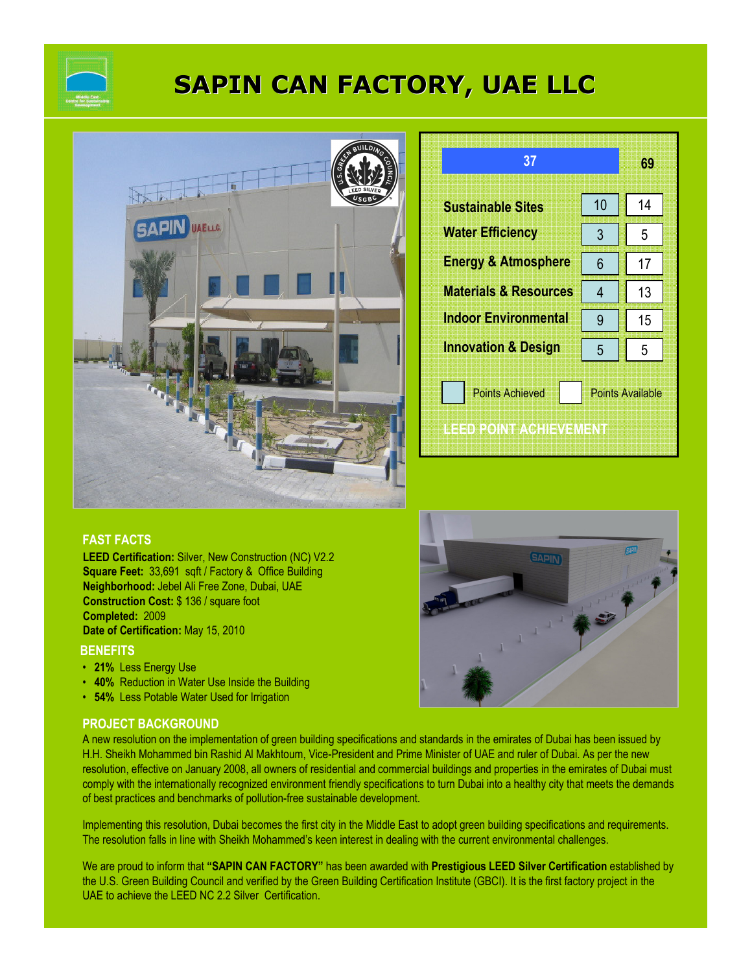

# SAPIN CAN FACTORY, UAE LLC



| 37                                               |                         | 69 |  |
|--------------------------------------------------|-------------------------|----|--|
| <b>Sustainable Sites</b>                         | 10                      | 14 |  |
| <b>Water Efficiency</b>                          | 3                       | 5  |  |
| <b>Energy &amp; Atmosphere</b>                   | 6                       | 17 |  |
| <b>Materials &amp; Resources</b>                 | 4                       | 13 |  |
| <b>Indoor Environmental</b>                      | 9                       | 15 |  |
| <b>Innovation &amp; Design</b>                   | 5                       | 5  |  |
| <b>Points Achieved</b><br>IEED POINT ACHIEVEMENT | <b>Points Available</b> |    |  |

### FAST FACTS

LEED Certification: Silver, New Construction (NC) V2.2 Square Feet: 33,691 sqft / Factory & Office Building Neighborhood: Jebel Ali Free Zone, Dubai, UAE Construction Cost: \$ 136 / square foot Completed: 2009 Date of Certification: May 15, 2010

#### **BENEFITS**

- 21% Less Energy Use
- 40% Reduction in Water Use Inside the Building
- 54% Less Potable Water Used for Irrigation

#### PROJECT BACKGROUND

A new resolution on the implementation of green building specifications and standards in the emirates of Dubai has been issued by H.H. Sheikh Mohammed bin Rashid Al Makhtoum, Vice-President and Prime Minister of UAE and ruler of Dubai. As per the new resolution, effective on January 2008, all owners of residential and commercial buildings and properties in the emirates of Dubai must comply with the internationally recognized environment friendly specifications to turn Dubai into a healthy city that meets the demands of best practices and benchmarks of pollution-free sustainable development.

Implementing this resolution, Dubai becomes the first city in the Middle East to adopt green building specifications and requirements. The resolution falls in line with Sheikh Mohammed's keen interest in dealing with the current environmental challenges.

We are proud to inform that "SAPIN CAN FACTORY" has been awarded with Prestigious LEED Silver Certification established by the U.S. Green Building Council and verified by the Green Building Certification Institute (GBCI). It is the first factory project in the UAE to achieve the LEED NC 2.2 Silver Certification.